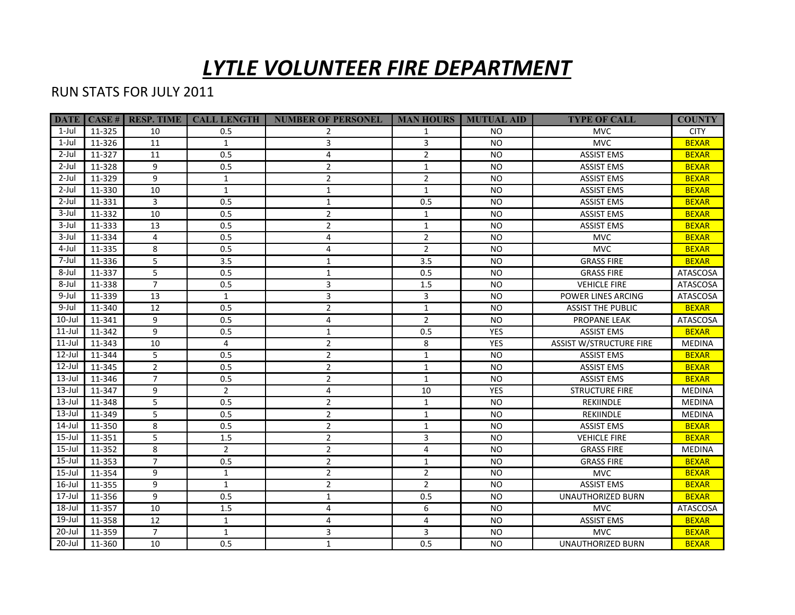## *LYTLE VOLUNTEER FIRE DEPARTMENT*

## RUN STATS FOR JULY 2011

|           |        | <b>DATE</b>   CASE #   RESP. TIME | <b>CALL LENGTH</b> | <b>NUMBER OF PERSONEL</b> | MAN HOURS   MUTUAL AID |            | <b>TYPE OF CALL</b>            | <b>COUNTY</b>   |
|-----------|--------|-----------------------------------|--------------------|---------------------------|------------------------|------------|--------------------------------|-----------------|
| $1$ -Jul  | 11-325 | 10                                | 0.5                | $\overline{2}$            | $\mathbf{1}$           | NO.        | <b>MVC</b>                     | <b>CITY</b>     |
| $1$ -Jul  | 11-326 | 11                                | $\mathbf{1}$       | $\overline{3}$            | 3                      | <b>NO</b>  | <b>MVC</b>                     | <b>BEXAR</b>    |
| $2$ -Jul  | 11-327 | 11                                | 0.5                | 4                         | $\overline{2}$         | <b>NO</b>  | <b>ASSIST EMS</b>              | <b>BEXAR</b>    |
| $2$ -Jul  | 11-328 | 9                                 | 0.5                | $\overline{2}$            | $1\,$                  | <b>NO</b>  | <b>ASSIST EMS</b>              | <b>BEXAR</b>    |
| $2$ -Jul  | 11-329 | 9                                 | $\mathbf{1}$       | $\overline{2}$            | $\overline{2}$         | <b>NO</b>  | <b>ASSIST EMS</b>              | <b>BEXAR</b>    |
| $2$ -Jul  | 11-330 | 10                                | $\mathbf{1}$       | $\mathbf{1}$              | $\mathbf 1$            | <b>NO</b>  | <b>ASSIST EMS</b>              | <b>BEXAR</b>    |
| $2$ -Jul  | 11-331 | 3                                 | 0.5                | $\mathbf{1}$              | 0.5                    | <b>NO</b>  | <b>ASSIST EMS</b>              | <b>BEXAR</b>    |
| $3$ -Jul  | 11-332 | 10                                | 0.5                | $\overline{2}$            | $\mathbf{1}$           | <b>NO</b>  | <b>ASSIST EMS</b>              | <b>BEXAR</b>    |
| $3$ -Jul  | 11-333 | 13                                | 0.5                | $\overline{2}$            | $1\,$                  | <b>NO</b>  | <b>ASSIST EMS</b>              | <b>BEXAR</b>    |
| $3$ -Jul  | 11-334 | 4                                 | 0.5                | 4                         | $\overline{2}$         | <b>NO</b>  | <b>MVC</b>                     | <b>BEXAR</b>    |
| 4-Jul     | 11-335 | 8                                 | 0.5                | 4                         | $\overline{2}$         | <b>NO</b>  | <b>MVC</b>                     | <b>BEXAR</b>    |
| 7-Jul     | 11-336 | 5                                 | 3.5                | $\mathbf{1}$              | 3.5                    | <b>NO</b>  | <b>GRASS FIRE</b>              | <b>BEXAR</b>    |
| 8-Jul     | 11-337 | 5                                 | 0.5                | $\mathbf{1}$              | 0.5                    | <b>NO</b>  | <b>GRASS FIRE</b>              | <b>ATASCOSA</b> |
| 8-Jul     | 11-338 | $\overline{7}$                    | 0.5                | 3                         | 1.5                    | <b>NO</b>  | <b>VEHICLE FIRE</b>            | ATASCOSA        |
| 9-Jul     | 11-339 | 13                                | $\mathbf{1}$       | 3                         | 3                      | <b>NO</b>  | POWER LINES ARCING             | ATASCOSA        |
| 9-Jul     | 11-340 | 12                                | 0.5                | $\overline{2}$            | $\mathbf{1}$           | <b>NO</b>  | <b>ASSIST THE PUBLIC</b>       | <b>BEXAR</b>    |
| $10$ -Jul | 11-341 | 9                                 | 0.5                | 4                         | $\overline{2}$         | <b>NO</b>  | PROPANE LEAK                   | ATASCOSA        |
| $11$ -Jul | 11-342 | 9                                 | 0.5                | $\mathbf{1}$              | 0.5                    | <b>YES</b> | <b>ASSIST EMS</b>              | <b>BEXAR</b>    |
| $11$ -Jul | 11-343 | 10                                | 4                  | $\overline{2}$            | 8                      | YES        | <b>ASSIST W/STRUCTURE FIRE</b> | <b>MEDINA</b>   |
| 12-Jul    | 11-344 | 5                                 | 0.5                | $\overline{2}$            | $\mathbf{1}$           | <b>NO</b>  | <b>ASSIST EMS</b>              | <b>BEXAR</b>    |
| 12-Jul    | 11-345 | $\overline{2}$                    | 0.5                | $\overline{2}$            | $\mathbf{1}$           | <b>NO</b>  | <b>ASSIST EMS</b>              | <b>BEXAR</b>    |
| $13$ -Jul | 11-346 | $\overline{7}$                    | 0.5                | $\overline{2}$            | $\mathbf{1}$           | <b>NO</b>  | <b>ASSIST EMS</b>              | <b>BEXAR</b>    |
| $13$ -Jul | 11-347 | 9                                 | $\overline{2}$     | 4                         | 10                     | YES        | <b>STRUCTURE FIRE</b>          | <b>MEDINA</b>   |
| $13$ -Jul | 11-348 | 5                                 | 0.5                | $\overline{2}$            | $\mathbf{1}$           | <b>NO</b>  | REKIINDLE                      | <b>MEDINA</b>   |
| $13$ -Jul | 11-349 | 5                                 | 0.5                | $\overline{2}$            | $\mathbf{1}$           | <b>NO</b>  | REKIINDLE                      | <b>MEDINA</b>   |
| 14-Jul    | 11-350 | 8                                 | 0.5                | $\overline{2}$            | $\mathbf{1}$           | <b>NO</b>  | <b>ASSIST EMS</b>              | <b>BEXAR</b>    |
| $15$ -Jul | 11-351 | 5                                 | 1.5                | $\overline{2}$            | 3                      | <b>NO</b>  | <b>VEHICLE FIRE</b>            | <b>BEXAR</b>    |
| $15$ -Jul | 11-352 | 8                                 | $\overline{2}$     | $\overline{2}$            | 4                      | <b>NO</b>  | <b>GRASS FIRE</b>              | <b>MEDINA</b>   |
| $15$ -Jul | 11-353 | $\overline{7}$                    | 0.5                | $\overline{2}$            | $\mathbf{1}$           | <b>NO</b>  | <b>GRASS FIRE</b>              | <b>BEXAR</b>    |
| $15$ -Jul | 11-354 | 9                                 | $\mathbf{1}$       | $\overline{2}$            | $\overline{2}$         | <b>NO</b>  | <b>MVC</b>                     | <b>BEXAR</b>    |
| $16$ -Jul | 11-355 | 9                                 | $\mathbf{1}$       | $\overline{2}$            | $\overline{2}$         | <b>NO</b>  | <b>ASSIST EMS</b>              | <b>BEXAR</b>    |
| 17-Jul    | 11-356 | 9                                 | 0.5                | $\mathbf{1}$              | 0.5                    | <b>NO</b>  | <b>UNAUTHORIZED BURN</b>       | <b>BEXAR</b>    |
| 18-Jul    | 11-357 | 10                                | 1.5                | 4                         | 6                      | <b>NO</b>  | <b>MVC</b>                     | <b>ATASCOSA</b> |
| $19$ -Jul | 11-358 | 12                                | $\mathbf{1}$       | 4                         | $\overline{4}$         | <b>NO</b>  | <b>ASSIST EMS</b>              | <b>BEXAR</b>    |
| 20-Jul    | 11-359 | $\overline{7}$                    | $\mathbf{1}$       | 3                         | 3                      | <b>NO</b>  | <b>MVC</b>                     | <b>BEXAR</b>    |
| 20-Jul    | 11-360 | 10                                | 0.5                | $\mathbf{1}$              | 0.5                    | <b>NO</b>  | <b>UNAUTHORIZED BURN</b>       | <b>BEXAR</b>    |